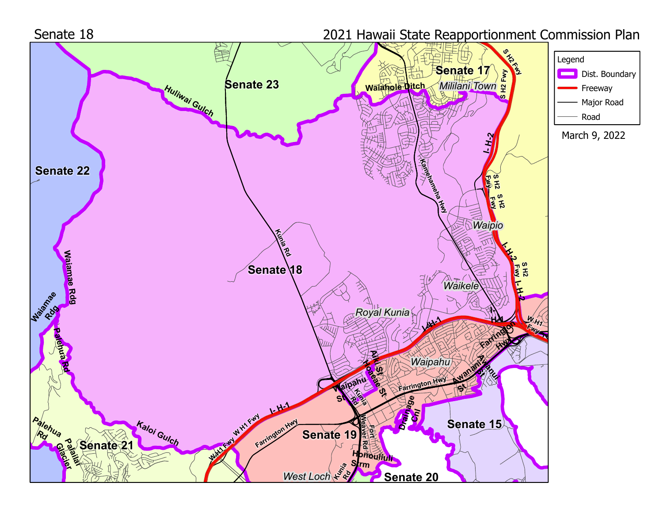